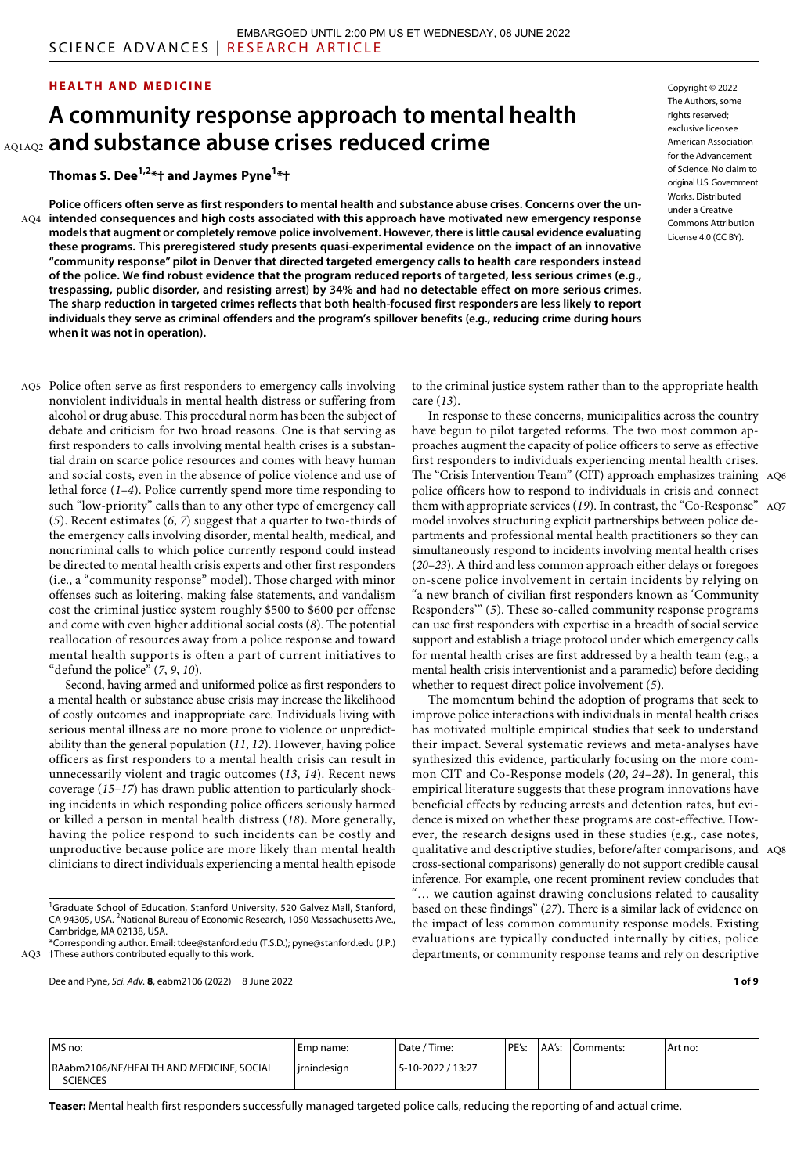### **HEALTH AND MEDICINE**

# **A community response approach to mental health and substance abuse crises reduced crime** AQ1AQ2

**Thomas S. Dee1,2\*† and Jaymes Pyne1 \*†**

**Police officers often serve as first responders to mental health and substance abuse crises. Concerns over the unintended consequences and high costs associated with this approach have motivated new emergency response**  AQ4 **models that augment or completely remove police involvement. However, there is little causal evidence evaluating these programs. This preregistered study presents quasi-experimental evidence on the impact of an innovative "community response" pilot in Denver that directed targeted emergency calls to health care responders instead of the police. We find robust evidence that the program reduced reports of targeted, less serious crimes (e.g., trespassing, public disorder, and resisting arrest) by 34% and had no detectable effect on more serious crimes. The sharp reduction in targeted crimes reflects that both health-focused first responders are less likely to report individuals they serve as criminal offenders and the program's spillover benefits (e.g., reducing crime during hours when it was not in operation).**

Police often serve as first responders to emergency calls involving AQ5 nonviolent individuals in mental health distress or suffering from alcohol or drug abuse. This procedural norm has been the subject of debate and criticism for two broad reasons. One is that serving as first responders to calls involving mental health crises is a substantial drain on scarce police resources and comes with heavy human and social costs, even in the absence of police violence and use of lethal force (*1*–*4*). Police currently spend more time responding to such "low-priority" calls than to any other type of emergency call (*5*). Recent estimates (*6*, *7*) suggest that a quarter to two-thirds of the emergency calls involving disorder, mental health, medical, and noncriminal calls to which police currently respond could instead be directed to mental health crisis experts and other first responders (i.e., a "community response" model). Those charged with minor offenses such as loitering, making false statements, and vandalism cost the criminal justice system roughly \$500 to \$600 per offense and come with even higher additional social costs (*8*). The potential reallocation of resources away from a police response and toward mental health supports is often a part of current initiatives to "defund the police" (*7*, *9*, *10*).

Second, having armed and uniformed police as first responders to a mental health or substance abuse crisis may increase the likelihood of costly outcomes and inappropriate care. Individuals living with serious mental illness are no more prone to violence or unpredictability than the general population (*11*, *12*). However, having police officers as first responders to a mental health crisis can result in unnecessarily violent and tragic outcomes (*13*, *14*). Recent news coverage (*15*–*17*) has drawn public attention to particularly shocking incidents in which responding police officers seriously harmed or killed a person in mental health distress (*18*). More generally, having the police respond to such incidents can be costly and unproductive because police are more likely than mental health clinicians to direct individuals experiencing a mental health episode

Dee and Pyne, *Sci. Adv.* **8**, eabm2106 (2022) 8 June 2022

Copyright © 2022 The Authors, some rights reserved: exclusive licensee American Association for the Advancement of Science. No claim to original U.S.Government Works. Distributed under a Creative Commons Attribution License 4.0 (CC BY).

to the criminal justice system rather than to the appropriate health care (*13*).

In response to these concerns, municipalities across the country have begun to pilot targeted reforms. The two most common approaches augment the capacity of police officers to serve as effective first responders to individuals experiencing mental health crises. The "Crisis Intervention Team" (CIT) approach emphasizes training AQ6 police officers how to respond to individuals in crisis and connect them with appropriate services (*19*). In contrast, the "Co-Response" AQ7 model involves structuring explicit partnerships between police departments and professional mental health practitioners so they can simultaneously respond to incidents involving mental health crises (*20*–*23*). A third and less common approach either delays or foregoes on-scene police involvement in certain incidents by relying on "a new branch of civilian first responders known as 'Community Responders'" (*5*). These so-called community response programs can use first responders with expertise in a breadth of social service support and establish a triage protocol under which emergency calls for mental health crises are first addressed by a health team (e.g., a mental health crisis interventionist and a paramedic) before deciding whether to request direct police involvement (*5*).

The momentum behind the adoption of programs that seek to improve police interactions with individuals in mental health crises has motivated multiple empirical studies that seek to understand their impact. Several systematic reviews and meta-analyses have synthesized this evidence, particularly focusing on the more common CIT and Co-Response models (*20*, *24*–*28*). In general, this empirical literature suggests that these program innovations have beneficial effects by reducing arrests and detention rates, but evidence is mixed on whether these programs are cost-effective. However, the research designs used in these studies (e.g., case notes, qualitative and descriptive studies, before/after comparisons, and AQ8 cross-sectional comparisons) generally do not support credible causal inference. For example, one recent prominent review concludes that "… we caution against drawing conclusions related to causality based on these findings" (*27*). There is a similar lack of evidence on the impact of less common community response models. Existing evaluations are typically conducted internally by cities, police departments, or community response teams and rely on descriptive

**1 of 9**

| MS no:                                                      | Emp name:      | Date / Time:      | PE's: | AA's: | Comments: | Art no: |
|-------------------------------------------------------------|----------------|-------------------|-------|-------|-----------|---------|
| RAabm2106/NF/HEALTH AND MEDICINE, SOCIAL<br><b>SCIENCES</b> | l irnindesian. | 5-10-2022 / 13:27 |       |       |           |         |

<sup>&</sup>lt;sup>1</sup>Graduate School of Education, Stanford University, 520 Galvez Mall, Stanford, CA 94305, USA. <sup>2</sup>National Bureau of Economic Research, 1050 Massachusetts Ave., Cambridge, MA 02138, USA.

<sup>\*</sup>Corresponding author. Email: [tdee@stanford.edu](mailto:tdee@stanford.edu) (T.S.D.); [pyne@stanford.edu](mailto:pyne@stanford.edu) (J.P.) AQ3 †These authors contributed equally to this work.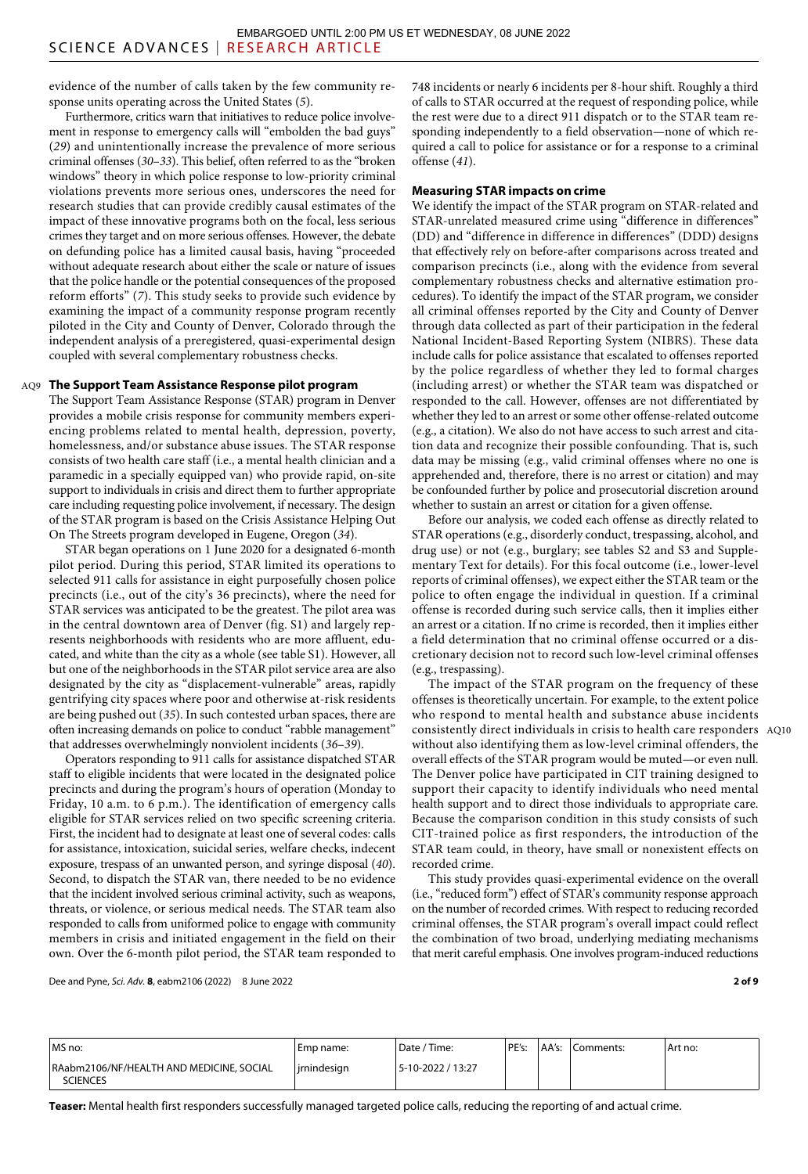evidence of the number of calls taken by the few community response units operating across the United States (*5*).

Furthermore, critics warn that initiatives to reduce police involvement in response to emergency calls will "embolden the bad guys" (*29*) and unintentionally increase the prevalence of more serious criminal offenses (*30*–*33*). This belief, often referred to as the "broken windows" theory in which police response to low-priority criminal violations prevents more serious ones, underscores the need for research studies that can provide credibly causal estimates of the impact of these innovative programs both on the focal, less serious crimes they target and on more serious offenses. However, the debate on defunding police has a limited causal basis, having "proceeded without adequate research about either the scale or nature of issues that the police handle or the potential consequences of the proposed reform efforts" (*7*). This study seeks to provide such evidence by examining the impact of a community response program recently piloted in the City and County of Denver, Colorado through the independent analysis of a preregistered, quasi-experimental design coupled with several complementary robustness checks.

## **The Support Team Assistance Response pilot program** AQ9

The Support Team Assistance Response (STAR) program in Denver provides a mobile crisis response for community members experiencing problems related to mental health, depression, poverty, homelessness, and/or substance abuse issues. The STAR response consists of two health care staff (i.e., a mental health clinician and a paramedic in a specially equipped van) who provide rapid, on-site support to individuals in crisis and direct them to further appropriate care including requesting police involvement, if necessary. The design of the STAR program is based on the Crisis Assistance Helping Out On The Streets program developed in Eugene, Oregon (*34*).

STAR began operations on 1 June 2020 for a designated 6-month pilot period. During this period, STAR limited its operations to selected 911 calls for assistance in eight purposefully chosen police precincts (i.e., out of the city's 36 precincts), where the need for STAR services was anticipated to be the greatest. The pilot area was in the central downtown area of Denver (fig. S1) and largely represents neighborhoods with residents who are more affluent, educated, and white than the city as a whole (see table S1). However, all but one of the neighborhoods in the STAR pilot service area are also designated by the city as "displacement-vulnerable" areas, rapidly gentrifying city spaces where poor and otherwise at-risk residents are being pushed out (*35*). In such contested urban spaces, there are often increasing demands on police to conduct "rabble management" that addresses overwhelmingly nonviolent incidents (*36*–*39*).

Operators responding to 911 calls for assistance dispatched STAR staff to eligible incidents that were located in the designated police precincts and during the program's hours of operation (Monday to Friday, 10 a.m. to 6 p.m.). The identification of emergency calls eligible for STAR services relied on two specific screening criteria. First, the incident had to designate at least one of several codes: calls for assistance, intoxication, suicidal series, welfare checks, indecent exposure, trespass of an unwanted person, and syringe disposal (*40*). Second, to dispatch the STAR van, there needed to be no evidence that the incident involved serious criminal activity, such as weapons, threats, or violence, or serious medical needs. The STAR team also responded to calls from uniformed police to engage with community members in crisis and initiated engagement in the field on their own. Over the 6-month pilot period, the STAR team responded to

Dee and Pyne, *Sci. Adv.* **8**, eabm2106 (2022) 8 June 2022

748 incidents or nearly 6 incidents per 8-hour shift. Roughly a third of calls to STAR occurred at the request of responding police, while the rest were due to a direct 911 dispatch or to the STAR team responding independently to a field observation—none of which required a call to police for assistance or for a response to a criminal offense (*41*).

# **Measuring STAR impacts on crime**

We identify the impact of the STAR program on STAR-related and STAR-unrelated measured crime using "difference in differences" (DD) and "difference in difference in differences" (DDD) designs that effectively rely on before-after comparisons across treated and comparison precincts (i.e., along with the evidence from several complementary robustness checks and alternative estimation procedures). To identify the impact of the STAR program, we consider all criminal offenses reported by the City and County of Denver through data collected as part of their participation in the federal National Incident-Based Reporting System (NIBRS). These data include calls for police assistance that escalated to offenses reported by the police regardless of whether they led to formal charges (including arrest) or whether the STAR team was dispatched or responded to the call. However, offenses are not differentiated by whether they led to an arrest or some other offense-related outcome (e.g., a citation). We also do not have access to such arrest and citation data and recognize their possible confounding. That is, such data may be missing (e.g., valid criminal offenses where no one is apprehended and, therefore, there is no arrest or citation) and may be confounded further by police and prosecutorial discretion around whether to sustain an arrest or citation for a given offense.

Before our analysis, we coded each offense as directly related to STAR operations (e.g., disorderly conduct, trespassing, alcohol, and drug use) or not (e.g., burglary; see tables S2 and S3 and Supplementary Text for details). For this focal outcome (i.e., lower-level reports of criminal offenses), we expect either the STAR team or the police to often engage the individual in question. If a criminal offense is recorded during such service calls, then it implies either an arrest or a citation. If no crime is recorded, then it implies either a field determination that no criminal offense occurred or a discretionary decision not to record such low-level criminal offenses (e.g., trespassing).

The impact of the STAR program on the frequency of these offenses is theoretically uncertain. For example, to the extent police who respond to mental health and substance abuse incidents consistently direct individuals in crisis to health care responders AQ10 without also identifying them as low-level criminal offenders, the overall effects of the STAR program would be muted—or even null. The Denver police have participated in CIT training designed to support their capacity to identify individuals who need mental health support and to direct those individuals to appropriate care. Because the comparison condition in this study consists of such CIT-trained police as first responders, the introduction of the STAR team could, in theory, have small or nonexistent effects on recorded crime.

This study provides quasi-experimental evidence on the overall (i.e., "reduced form") effect of STAR's community response approach on the number of recorded crimes. With respect to reducing recorded criminal offenses, the STAR program's overall impact could reflect the combination of two broad, underlying mediating mechanisms that merit careful emphasis. One involves program-induced reductions

**2 of 9**

| MS no:                                                      | Emp name:     | Date / Time:      | PE's: | AA's:  Comments: | Art no: |
|-------------------------------------------------------------|---------------|-------------------|-------|------------------|---------|
| RAabm2106/NF/HEALTH AND MEDICINE, SOCIAL<br><b>SCIENCES</b> | l irnindesian | 5-10-2022 / 13:27 |       |                  |         |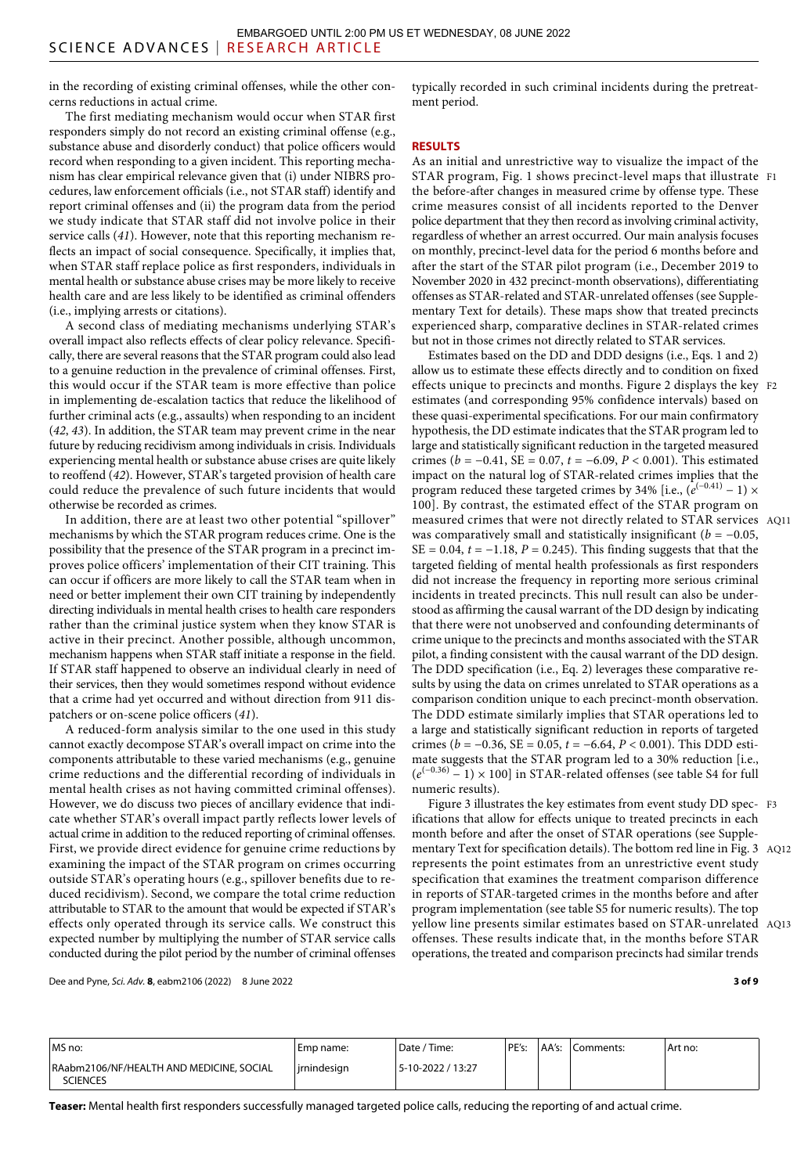in the recording of existing criminal offenses, while the other concerns reductions in actual crime.

The first mediating mechanism would occur when STAR first responders simply do not record an existing criminal offense (e.g., substance abuse and disorderly conduct) that police officers would record when responding to a given incident. This reporting mechanism has clear empirical relevance given that (i) under NIBRS procedures, law enforcement officials (i.e., not STAR staff) identify and report criminal offenses and (ii) the program data from the period we study indicate that STAR staff did not involve police in their service calls (*41*). However, note that this reporting mechanism reflects an impact of social consequence. Specifically, it implies that, when STAR staff replace police as first responders, individuals in mental health or substance abuse crises may be more likely to receive health care and are less likely to be identified as criminal offenders (i.e., implying arrests or citations).

A second class of mediating mechanisms underlying STAR's overall impact also reflects effects of clear policy relevance. Specifically, there are several reasons that the STAR program could also lead to a genuine reduction in the prevalence of criminal offenses. First, this would occur if the STAR team is more effective than police in implementing de-escalation tactics that reduce the likelihood of further criminal acts (e.g., assaults) when responding to an incident (*42*, *43*). In addition, the STAR team may prevent crime in the near future by reducing recidivism among individuals in crisis. Individuals experiencing mental health or substance abuse crises are quite likely to reoffend (*42*). However, STAR's targeted provision of health care could reduce the prevalence of such future incidents that would otherwise be recorded as crimes.

In addition, there are at least two other potential "spillover" mechanisms by which the STAR program reduces crime. One is the possibility that the presence of the STAR program in a precinct improves police officers' implementation of their CIT training. This can occur if officers are more likely to call the STAR team when in need or better implement their own CIT training by independently directing individuals in mental health crises to health care responders rather than the criminal justice system when they know STAR is active in their precinct. Another possible, although uncommon, mechanism happens when STAR staff initiate a response in the field. If STAR staff happened to observe an individual clearly in need of their services, then they would sometimes respond without evidence that a crime had yet occurred and without direction from 911 dispatchers or on-scene police officers (*41*).

A reduced-form analysis similar to the one used in this study cannot exactly decompose STAR's overall impact on crime into the components attributable to these varied mechanisms (e.g., genuine crime reductions and the differential recording of individuals in mental health crises as not having committed criminal offenses). However, we do discuss two pieces of ancillary evidence that indicate whether STAR's overall impact partly reflects lower levels of actual crime in addition to the reduced reporting of criminal offenses. First, we provide direct evidence for genuine crime reductions by examining the impact of the STAR program on crimes occurring outside STAR's operating hours (e.g., spillover benefits due to reduced recidivism). Second, we compare the total crime reduction attributable to STAR to the amount that would be expected if STAR's effects only operated through its service calls. We construct this expected number by multiplying the number of STAR service calls conducted during the pilot period by the number of criminal offenses

Dee and Pyne, *Sci. Adv.* **8**, eabm2106 (2022) 8 June 2022

typically recorded in such criminal incidents during the pretreatment period.

## **RESULTS**

As an initial and unrestrictive way to visualize the impact of the STAR program, Fig. 1 shows precinct-level maps that illustrate F1 the before-after changes in measured crime by offense type. These crime measures consist of all incidents reported to the Denver police department that they then record as involving criminal activity, regardless of whether an arrest occurred. Our main analysis focuses on monthly, precinct-level data for the period 6 months before and after the start of the STAR pilot program (i.e., December 2019 to November 2020 in 432 precinct-month observations), differentiating offenses as STAR-related and STAR-unrelated offenses (see Supplementary Text for details). These maps show that treated precincts experienced sharp, comparative declines in STAR-related crimes but not in those crimes not directly related to STAR services.

Estimates based on the DD and DDD designs (i.e., Eqs. 1 and 2) allow us to estimate these effects directly and to condition on fixed effects unique to precincts and months. Figure 2 displays the key F2 estimates (and corresponding 95% confidence intervals) based on these quasi-experimental specifications. For our main confirmatory hypothesis, the DD estimate indicates that the STAR program led to large and statistically significant reduction in the targeted measured crimes (*b* = −0.41, SE = 0.07, *t* = −6.09, *P* < 0.001). This estimated impact on the natural log of STAR-related crimes implies that the program reduced these targeted crimes by 34% [i.e.,  $(e^{(-0.41)} - 1) \times$ 100]. By contrast, the estimated effect of the STAR program on measured crimes that were not directly related to STAR services AQ11 was comparatively small and statistically insignificant ( $b = -0.05$ , SE = 0.04, *t* = −1.18, *P* = 0.245). This finding suggests that that the targeted fielding of mental health professionals as first responders did not increase the frequency in reporting more serious criminal incidents in treated precincts. This null result can also be understood as affirming the causal warrant of the DD design by indicating that there were not unobserved and confounding determinants of crime unique to the precincts and months associated with the STAR pilot, a finding consistent with the causal warrant of the DD design. The DDD specification (i.e., Eq. 2) leverages these comparative results by using the data on crimes unrelated to STAR operations as a comparison condition unique to each precinct-month observation. The DDD estimate similarly implies that STAR operations led to a large and statistically significant reduction in reports of targeted crimes (*b* = −0.36, SE = 0.05, *t* = −6.64, *P* < 0.001). This DDD estimate suggests that the STAR program led to a 30% reduction [i.e.,  $(e^{(-0.36)} - 1) \times 100$ ] in STAR-related offenses (see table S4 for full numeric results).

Figure 3 illustrates the key estimates from event study DD spec-F3 ifications that allow for effects unique to treated precincts in each month before and after the onset of STAR operations (see Supplementary Text for specification details). The bottom red line in Fig. 3 AQ12 represents the point estimates from an unrestrictive event study specification that examines the treatment comparison difference in reports of STAR-targeted crimes in the months before and after program implementation (see table S5 for numeric results). The top yellow line presents similar estimates based on STAR-unrelated AQ13 offenses. These results indicate that, in the months before STAR operations, the treated and comparison precincts had similar trends

**3 of 9**

| MS no:                                                      | Emp name:     | ' Date / Time:    | PE's: | AA's: | Comments: | Art no: |
|-------------------------------------------------------------|---------------|-------------------|-------|-------|-----------|---------|
| RAabm2106/NF/HEALTH AND MEDICINE, SOCIAL<br><b>SCIENCES</b> | ' irnindesian | 5-10-2022 / 13:27 |       |       |           |         |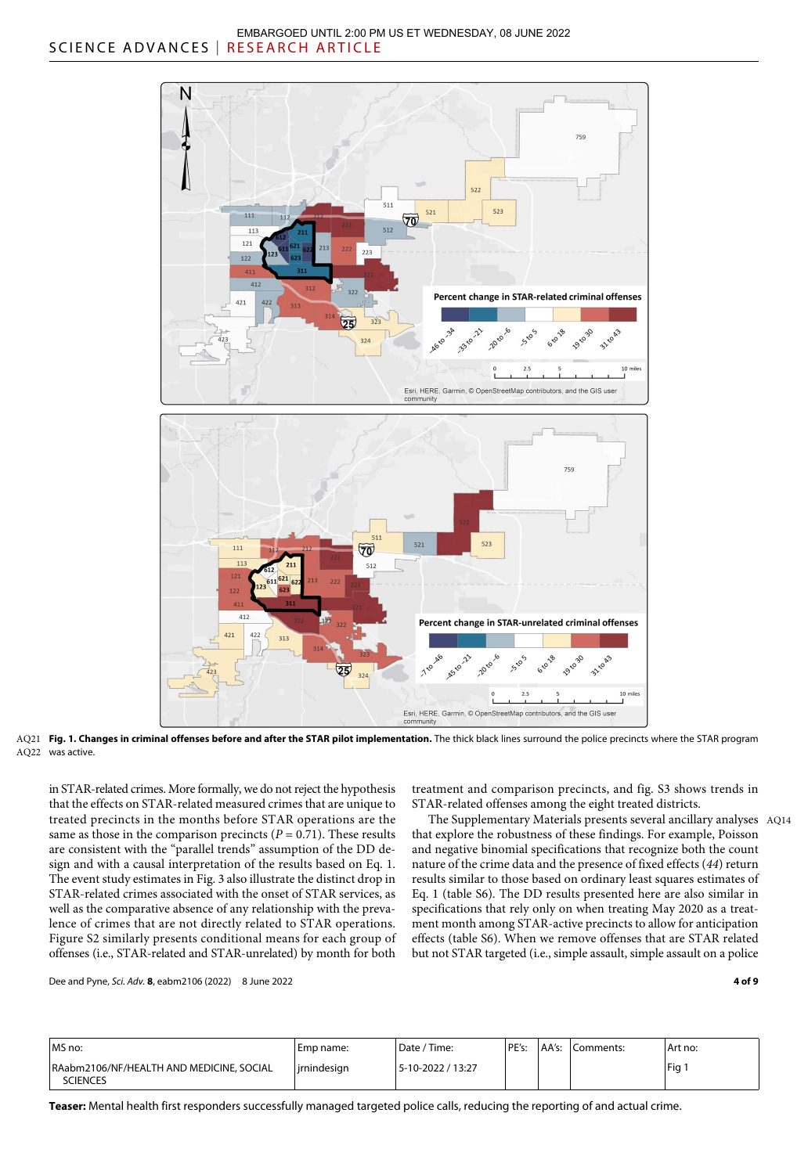

**Fig. 1. Changes in criminal offenses before and after the STAR pilot implementation.** The thick black lines surround the police precincts where the STAR program AQ21 AQ22 was active.

in STAR-related crimes. More formally, we do not reject the hypothesis that the effects on STAR-related measured crimes that are unique to treated precincts in the months before STAR operations are the same as those in the comparison precincts  $(P = 0.71)$ . These results are consistent with the "parallel trends" assumption of the DD design and with a causal interpretation of the results based on Eq. 1. The event study estimates in Fig. 3 also illustrate the distinct drop in STAR-related crimes associated with the onset of STAR services, as well as the comparative absence of any relationship with the prevalence of crimes that are not directly related to STAR operations. Figure S2 similarly presents conditional means for each group of offenses (i.e., STAR-related and STAR-unrelated) by month for both

treatment and comparison precincts, and fig. S3 shows trends in STAR-related offenses among the eight treated districts.

The Supplementary Materials presents several ancillary analyses AQ14 that explore the robustness of these findings. For example, Poisson and negative binomial specifications that recognize both the count nature of the crime data and the presence of fixed effects (*44*) return results similar to those based on ordinary least squares estimates of Eq. 1 (table S6). The DD results presented here are also similar in specifications that rely only on when treating May 2020 as a treatment month among STAR-active precincts to allow for anticipation effects (table S6). When we remove offenses that are STAR related but not STAR targeted (i.e., simple assault, simple assault on a police

Dee and Pyne, *Sci. Adv.* **8**, eabm2106 (2022) 8 June 2022

**4 of 9**

| MS no:                                                      | Emp name:     | Date / Time:      | PE's: | AA's: | Comments: | Art no: |
|-------------------------------------------------------------|---------------|-------------------|-------|-------|-----------|---------|
| RAabm2106/NF/HEALTH AND MEDICINE, SOCIAL<br><b>SCIENCES</b> | l irnindesian | 5-10-2022 / 13:27 |       |       |           | 'Fig    |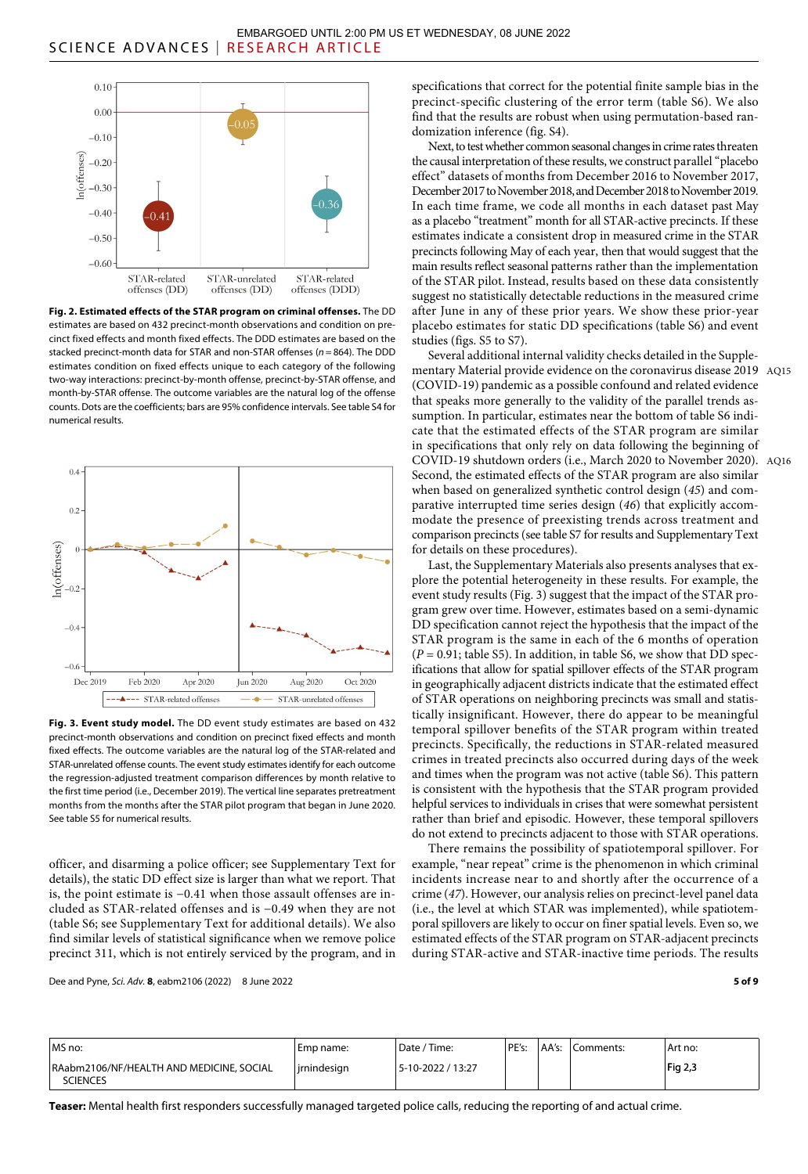

**Fig. 2. Estimated effects of the STAR program on criminal offenses.** The DD estimates are based on 432 precinct-month observations and condition on precinct fixed effects and month fixed effects. The DDD estimates are based on the stacked precinct-month data for STAR and non-STAR offenses (*n* = 864). The DDD estimates condition on fixed effects unique to each category of the following two-way interactions: precinct-by-month offense, precinct-by-STAR offense, and month-by-STAR offense. The outcome variables are the natural log of the offense counts. Dots are the coefficients; bars are 95% confidence intervals. See table S4 for numerical results.



**Fig. 3. Event study model.** The DD event study estimates are based on 432 precinct-month observations and condition on precinct fixed effects and month fixed effects. The outcome variables are the natural log of the STAR-related and STAR-unrelated offense counts. The event study estimates identify for each outcome the regression-adjusted treatment comparison differences by month relative to the first time period (i.e., December 2019). The vertical line separates pretreatment months from the months after the STAR pilot program that began in June 2020. See table S5 for numerical results.

officer, and disarming a police officer; see Supplementary Text for details), the static DD effect size is larger than what we report. That is, the point estimate is −0.41 when those assault offenses are included as STAR-related offenses and is −0.49 when they are not (table S6; see Supplementary Text for additional details). We also find similar levels of statistical significance when we remove police precinct 311, which is not entirely serviced by the program, and in

Dee and Pyne, *Sci. Adv.* **8**, eabm2106 (2022) 8 June 2022

specifications that correct for the potential finite sample bias in the precinct-specific clustering of the error term (table S6). We also find that the results are robust when using permutation-based randomization inference (fig. S4).

Next, to test whether common seasonal changes in crime rates threaten the causal interpretation of these results, we construct parallel "placebo effect" datasets of months from December 2016 to November 2017, December 2017 to November 2018, and December 2018 to November 2019. In each time frame, we code all months in each dataset past May as a placebo "treatment" month for all STAR-active precincts. If these estimates indicate a consistent drop in measured crime in the STAR precincts following May of each year, then that would suggest that the main results reflect seasonal patterns rather than the implementation of the STAR pilot. Instead, results based on these data consistently suggest no statistically detectable reductions in the measured crime after June in any of these prior years. We show these prior-year placebo estimates for static DD specifications (table S6) and event studies (figs. S5 to S7).

Several additional internal validity checks detailed in the Supplementary Material provide evidence on the coronavirus disease 2019 AQ15 (COVID-19) pandemic as a possible confound and related evidence that speaks more generally to the validity of the parallel trends assumption. In particular, estimates near the bottom of table S6 indicate that the estimated effects of the STAR program are similar in specifications that only rely on data following the beginning of COVID-19 shutdown orders (i.e., March 2020 to November 2020). AQ16 Second, the estimated effects of the STAR program are also similar when based on generalized synthetic control design (*45*) and comparative interrupted time series design (*46*) that explicitly accommodate the presence of preexisting trends across treatment and comparison precincts (see table S7 for results and Supplementary Text for details on these procedures).

Last, the Supplementary Materials also presents analyses that explore the potential heterogeneity in these results. For example, the event study results (Fig. 3) suggest that the impact of the STAR program grew over time. However, estimates based on a semi-dynamic DD specification cannot reject the hypothesis that the impact of the STAR program is the same in each of the 6 months of operation  $(P = 0.91$ ; table S5). In addition, in table S6, we show that DD specifications that allow for spatial spillover effects of the STAR program in geographically adjacent districts indicate that the estimated effect of STAR operations on neighboring precincts was small and statistically insignificant. However, there do appear to be meaningful temporal spillover benefits of the STAR program within treated precincts. Specifically, the reductions in STAR-related measured crimes in treated precincts also occurred during days of the week and times when the program was not active (table S6). This pattern is consistent with the hypothesis that the STAR program provided helpful services to individuals in crises that were somewhat persistent rather than brief and episodic. However, these temporal spillovers do not extend to precincts adjacent to those with STAR operations.

There remains the possibility of spatiotemporal spillover. For example, "near repeat" crime is the phenomenon in which criminal incidents increase near to and shortly after the occurrence of a crime (*47*). However, our analysis relies on precinct-level panel data (i.e., the level at which STAR was implemented), while spatiotemporal spillovers are likely to occur on finer spatial levels. Even so, we estimated effects of the STAR program on STAR-adjacent precincts during STAR-active and STAR-inactive time periods. The results

**5 of 9**

| MS no:                                                      | l Emp name:   | Date / Time:      | PE's: | AA's: | Comments: | Art no:        |
|-------------------------------------------------------------|---------------|-------------------|-------|-------|-----------|----------------|
| RAabm2106/NF/HEALTH AND MEDICINE, SOCIAL<br><b>SCIENCES</b> | l irnindesian | 5-10-2022 / 13:27 |       |       |           | <b>Fig 2,3</b> |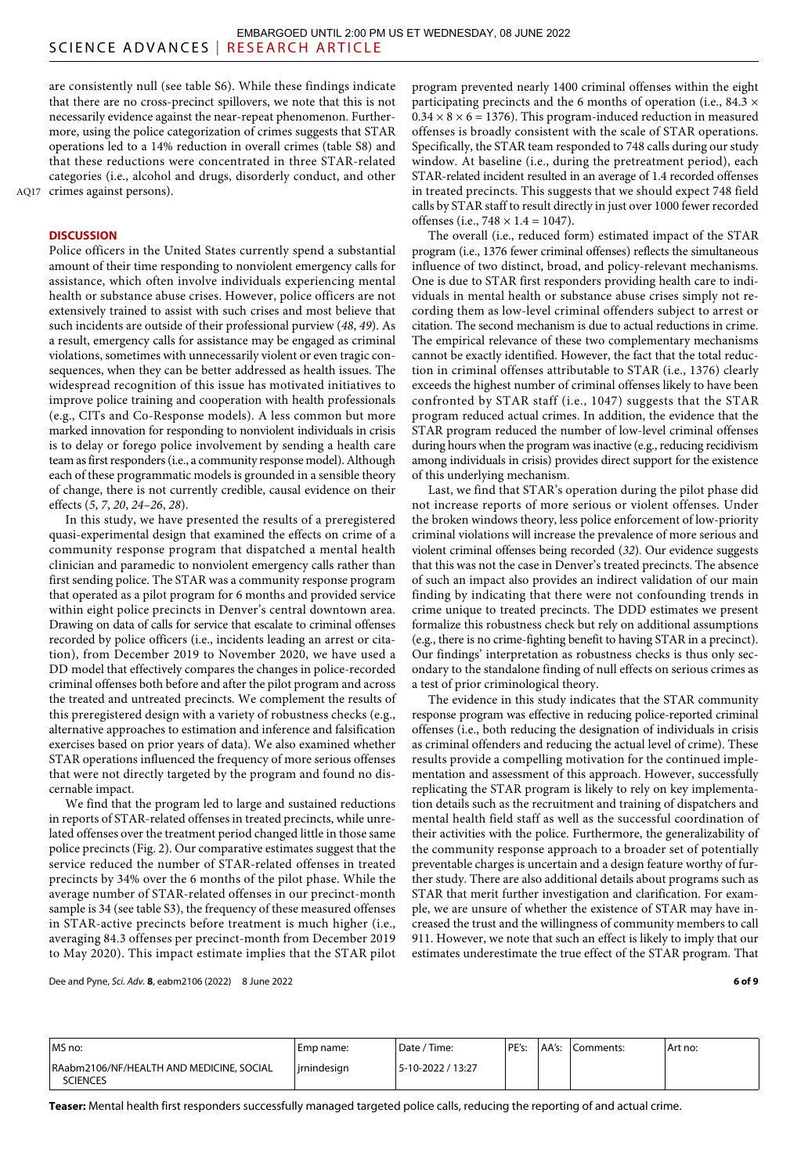are consistently null (see table S6). While these findings indicate that there are no cross-precinct spillovers, we note that this is not necessarily evidence against the near-repeat phenomenon. Furthermore, using the police categorization of crimes suggests that STAR operations led to a 14% reduction in overall crimes (table S8) and that these reductions were concentrated in three STAR-related categories (i.e., alcohol and drugs, disorderly conduct, and other AQ17 crimes against persons).

# **DISCUSSION**

Police officers in the United States currently spend a substantial amount of their time responding to nonviolent emergency calls for assistance, which often involve individuals experiencing mental health or substance abuse crises. However, police officers are not extensively trained to assist with such crises and most believe that such incidents are outside of their professional purview (*48*, *49*). As a result, emergency calls for assistance may be engaged as criminal violations, sometimes with unnecessarily violent or even tragic consequences, when they can be better addressed as health issues. The widespread recognition of this issue has motivated initiatives to improve police training and cooperation with health professionals (e.g., CITs and Co-Response models). A less common but more marked innovation for responding to nonviolent individuals in crisis is to delay or forego police involvement by sending a health care team as first responders (i.e., a community response model). Although each of these programmatic models is grounded in a sensible theory of change, there is not currently credible, causal evidence on their effects (*5*, *7*, *20*, *24*–*26*, *28*).

In this study, we have presented the results of a preregistered quasi-experimental design that examined the effects on crime of a community response program that dispatched a mental health clinician and paramedic to nonviolent emergency calls rather than first sending police. The STAR was a community response program that operated as a pilot program for 6 months and provided service within eight police precincts in Denver's central downtown area. Drawing on data of calls for service that escalate to criminal offenses recorded by police officers (i.e., incidents leading an arrest or citation), from December 2019 to November 2020, we have used a DD model that effectively compares the changes in police-recorded criminal offenses both before and after the pilot program and across the treated and untreated precincts. We complement the results of this preregistered design with a variety of robustness checks (e.g., alternative approaches to estimation and inference and falsification exercises based on prior years of data). We also examined whether STAR operations influenced the frequency of more serious offenses that were not directly targeted by the program and found no discernable impact.

We find that the program led to large and sustained reductions in reports of STAR-related offenses in treated precincts, while unrelated offenses over the treatment period changed little in those same police precincts (Fig. 2). Our comparative estimates suggest that the service reduced the number of STAR-related offenses in treated precincts by 34% over the 6 months of the pilot phase. While the average number of STAR-related offenses in our precinct-month sample is 34 (see table S3), the frequency of these measured offenses in STAR-active precincts before treatment is much higher (i.e., averaging 84.3 offenses per precinct-month from December 2019 to May 2020). This impact estimate implies that the STAR pilot program prevented nearly 1400 criminal offenses within the eight participating precincts and the 6 months of operation (i.e.,  $84.3 \times$  $0.34 \times 8 \times 6 = 1376$ . This program-induced reduction in measured offenses is broadly consistent with the scale of STAR operations. Specifically, the STAR team responded to 748 calls during our study window. At baseline (i.e., during the pretreatment period), each STAR-related incident resulted in an average of 1.4 recorded offenses in treated precincts. This suggests that we should expect 748 field calls by STAR staff to result directly in just over 1000 fewer recorded offenses (i.e.,  $748 \times 1.4 = 1047$ ).

The overall (i.e., reduced form) estimated impact of the STAR program (i.e., 1376 fewer criminal offenses) reflects the simultaneous influence of two distinct, broad, and policy-relevant mechanisms. One is due to STAR first responders providing health care to individuals in mental health or substance abuse crises simply not recording them as low-level criminal offenders subject to arrest or citation. The second mechanism is due to actual reductions in crime. The empirical relevance of these two complementary mechanisms cannot be exactly identified. However, the fact that the total reduction in criminal offenses attributable to STAR (i.e., 1376) clearly exceeds the highest number of criminal offenses likely to have been confronted by STAR staff (i.e., 1047) suggests that the STAR program reduced actual crimes. In addition, the evidence that the STAR program reduced the number of low-level criminal offenses during hours when the program was inactive (e.g., reducing recidivism among individuals in crisis) provides direct support for the existence of this underlying mechanism.

Last, we find that STAR's operation during the pilot phase did not increase reports of more serious or violent offenses. Under the broken windows theory, less police enforcement of low-priority criminal violations will increase the prevalence of more serious and violent criminal offenses being recorded (*32*). Our evidence suggests that this was not the case in Denver's treated precincts. The absence of such an impact also provides an indirect validation of our main finding by indicating that there were not confounding trends in crime unique to treated precincts. The DDD estimates we present formalize this robustness check but rely on additional assumptions (e.g., there is no crime-fighting benefit to having STAR in a precinct). Our findings' interpretation as robustness checks is thus only secondary to the standalone finding of null effects on serious crimes as a test of prior criminological theory.

The evidence in this study indicates that the STAR community response program was effective in reducing police-reported criminal offenses (i.e., both reducing the designation of individuals in crisis as criminal offenders and reducing the actual level of crime). These results provide a compelling motivation for the continued implementation and assessment of this approach. However, successfully replicating the STAR program is likely to rely on key implementation details such as the recruitment and training of dispatchers and mental health field staff as well as the successful coordination of their activities with the police. Furthermore, the generalizability of the community response approach to a broader set of potentially preventable charges is uncertain and a design feature worthy of further study. There are also additional details about programs such as STAR that merit further investigation and clarification. For example, we are unsure of whether the existence of STAR may have increased the trust and the willingness of community members to call 911. However, we note that such an effect is likely to imply that our estimates underestimate the true effect of the STAR program. That

Dee and Pyne, *Sci. Adv.* **8**, eabm2106 (2022) 8 June 2022

**6 of 9**

| MS no:                                                      | Emp name:   | Date / Time:      | PE's: | AA's: | Comments: | Art no: |
|-------------------------------------------------------------|-------------|-------------------|-------|-------|-----------|---------|
| RAabm2106/NF/HEALTH AND MEDICINE, SOCIAL<br><b>SCIENCES</b> | jrnindesign | 5-10-2022 / 13:27 |       |       |           |         |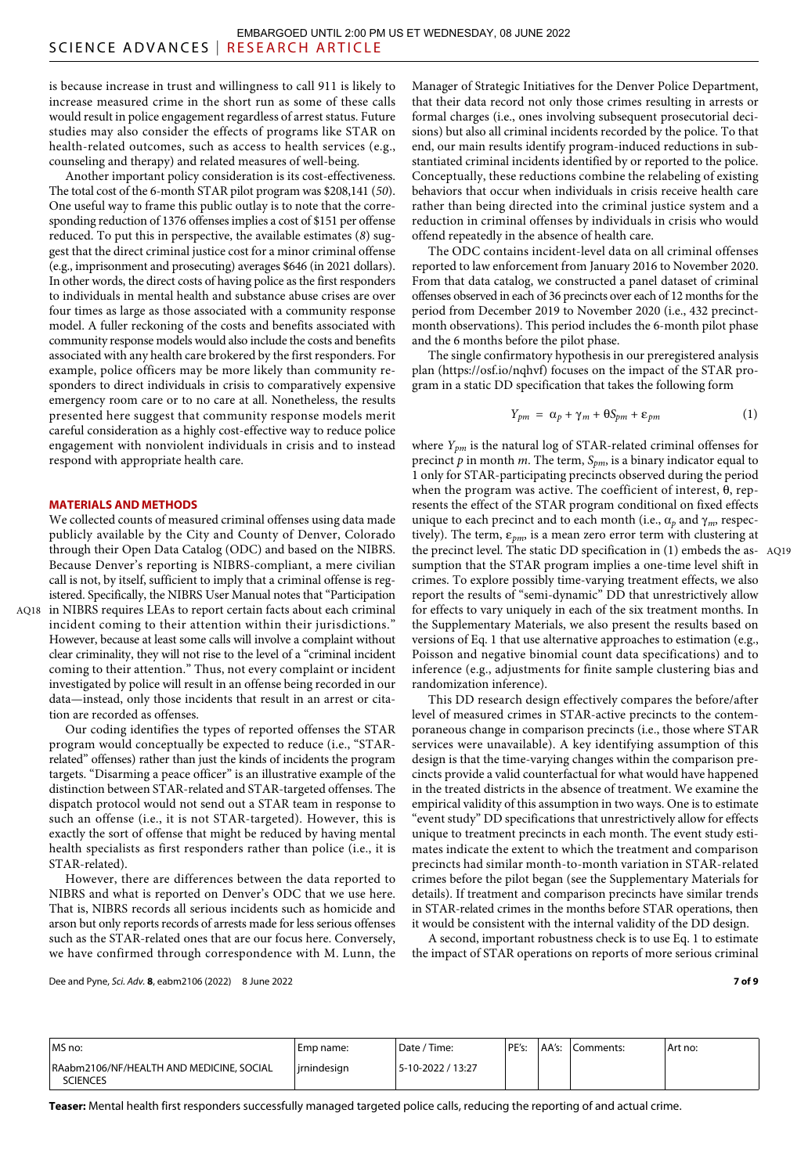is because increase in trust and willingness to call 911 is likely to increase measured crime in the short run as some of these calls would result in police engagement regardless of arrest status. Future studies may also consider the effects of programs like STAR on health-related outcomes, such as access to health services (e.g., counseling and therapy) and related measures of well-being.

Another important policy consideration is its cost-effectiveness. The total cost of the 6-month STAR pilot program was \$208,141 (*50*). One useful way to frame this public outlay is to note that the corresponding reduction of 1376 offenses implies a cost of \$151 per offense reduced. To put this in perspective, the available estimates (*8*) suggest that the direct criminal justice cost for a minor criminal offense (e.g., imprisonment and prosecuting) averages \$646 (in 2021 dollars). In other words, the direct costs of having police as the first responders to individuals in mental health and substance abuse crises are over four times as large as those associated with a community response model. A fuller reckoning of the costs and benefits associated with community response models would also include the costs and benefits associated with any health care brokered by the first responders. For example, police officers may be more likely than community responders to direct individuals in crisis to comparatively expensive emergency room care or to no care at all. Nonetheless, the results presented here suggest that community response models merit careful consideration as a highly cost-effective way to reduce police engagement with nonviolent individuals in crisis and to instead respond with appropriate health care.

## **MATERIALS AND METHODS**

We collected counts of measured criminal offenses using data made publicly available by the City and County of Denver, Colorado through their Open Data Catalog (ODC) and based on the NIBRS. Because Denver's reporting is NIBRS-compliant, a mere civilian call is not, by itself, sufficient to imply that a criminal offense is registered. Specifically, the NIBRS User Manual notes that "Participation in NIBRS requires LEAs to report certain facts about each criminal AQ18 incident coming to their attention within their jurisdictions." However, because at least some calls will involve a complaint without clear criminality, they will not rise to the level of a "criminal incident coming to their attention." Thus, not every complaint or incident investigated by police will result in an offense being recorded in our data—instead, only those incidents that result in an arrest or citation are recorded as offenses.

Our coding identifies the types of reported offenses the STAR program would conceptually be expected to reduce (i.e., "STARrelated" offenses) rather than just the kinds of incidents the program targets. "Disarming a peace officer" is an illustrative example of the distinction between STAR-related and STAR-targeted offenses. The dispatch protocol would not send out a STAR team in response to such an offense (i.e., it is not STAR-targeted). However, this is exactly the sort of offense that might be reduced by having mental health specialists as first responders rather than police (i.e., it is STAR-related).

However, there are differences between the data reported to NIBRS and what is reported on Denver's ODC that we use here. That is, NIBRS records all serious incidents such as homicide and arson but only reports records of arrests made for less serious offenses such as the STAR-related ones that are our focus here. Conversely, we have confirmed through correspondence with M. Lunn, the

Manager of Strategic Initiatives for the Denver Police Department, that their data record not only those crimes resulting in arrests or formal charges (i.e., ones involving subsequent prosecutorial decisions) but also all criminal incidents recorded by the police. To that end, our main results identify program-induced reductions in substantiated criminal incidents identified by or reported to the police. Conceptually, these reductions combine the relabeling of existing behaviors that occur when individuals in crisis receive health care rather than being directed into the criminal justice system and a reduction in criminal offenses by individuals in crisis who would offend repeatedly in the absence of health care.

The ODC contains incident-level data on all criminal offenses reported to law enforcement from January 2016 to November 2020. From that data catalog, we constructed a panel dataset of criminal offenses observed in each of 36 precincts over each of 12 months for the period from December 2019 to November 2020 (i.e., 432 precinctmonth observations). This period includes the 6-month pilot phase and the 6 months before the pilot phase.

The single confirmatory hypothesis in our preregistered analysis plan (https://osf.io/nqhvf) focuses on the impact of the STAR program in a static DD specification that takes the following form

$$
Y_{pm} = \alpha_p + \gamma_m + \Theta S_{pm} + \varepsilon_{pm}
$$
 (1)

where *Ypm* is the natural log of STAR-related criminal offenses for precinct *p* in month *m*. The term, *Spm*, is a binary indicator equal to 1 only for STAR-participating precincts observed during the period when the program was active. The coefficient of interest,  $\theta$ , represents the effect of the STAR program conditional on fixed effects unique to each precinct and to each month (i.e.,  $\alpha_p$  and  $\gamma_m$ , respectively). The term,  $\varepsilon_{pm}$ , is a mean zero error term with clustering at the precinct level. The static DD specification in (1) embeds the as-AQ19 sumption that the STAR program implies a one-time level shift in crimes. To explore possibly time-varying treatment effects, we also report the results of "semi-dynamic" DD that unrestrictively allow for effects to vary uniquely in each of the six treatment months. In the Supplementary Materials, we also present the results based on versions of Eq. 1 that use alternative approaches to estimation (e.g., Poisson and negative binomial count data specifications) and to inference (e.g., adjustments for finite sample clustering bias and randomization inference).

This DD research design effectively compares the before/after level of measured crimes in STAR-active precincts to the contemporaneous change in comparison precincts (i.e., those where STAR services were unavailable). A key identifying assumption of this design is that the time-varying changes within the comparison precincts provide a valid counterfactual for what would have happened in the treated districts in the absence of treatment. We examine the empirical validity of this assumption in two ways. One is to estimate "event study" DD specifications that unrestrictively allow for effects unique to treatment precincts in each month. The event study estimates indicate the extent to which the treatment and comparison precincts had similar month-to-month variation in STAR-related crimes before the pilot began (see the Supplementary Materials for details). If treatment and comparison precincts have similar trends in STAR-related crimes in the months before STAR operations, then it would be consistent with the internal validity of the DD design.

A second, important robustness check is to use Eq. 1 to estimate the impact of STAR operations on reports of more serious criminal

Dee and Pyne, *Sci. Adv.* **8**, eabm2106 (2022) 8 June 2022

| MS no:                                                      | Emp name:      | ' Date / Time:    | PE's: | AA's: | Comments: | Art no: |
|-------------------------------------------------------------|----------------|-------------------|-------|-------|-----------|---------|
| RAabm2106/NF/HEALTH AND MEDICINE, SOCIAL<br><b>SCIENCES</b> | l irnindesian. | 5-10-2022 / 13:27 |       |       |           |         |

**Teaser:** Mental health first responders successfully managed targeted police calls, reducing the reporting of and actual crime.

#### **7 of 9**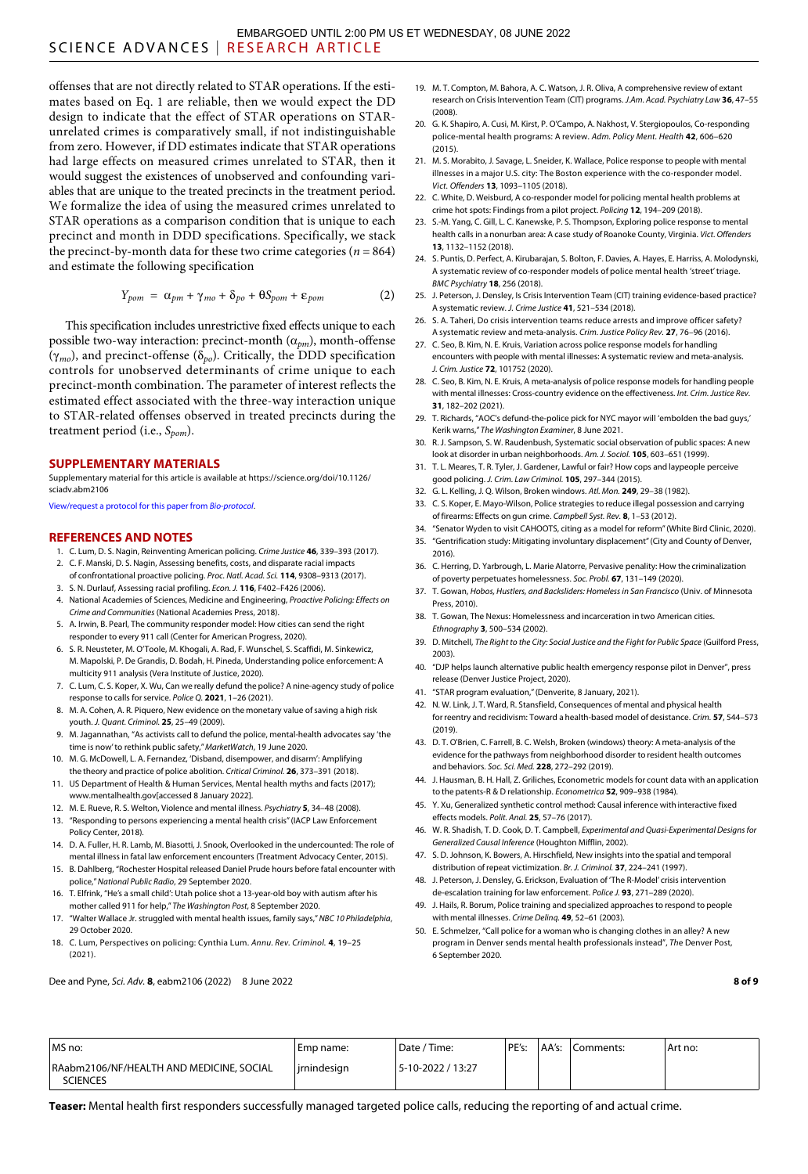offenses that are not directly related to STAR operations. If the estimates based on Eq. 1 are reliable, then we would expect the DD design to indicate that the effect of STAR operations on STARunrelated crimes is comparatively small, if not indistinguishable from zero. However, if DD estimates indicate that STAR operations had large effects on measured crimes unrelated to STAR, then it would suggest the existences of unobserved and confounding variables that are unique to the treated precincts in the treatment period. We formalize the idea of using the measured crimes unrelated to STAR operations as a comparison condition that is unique to each precinct and month in DDD specifications. Specifically, we stack the precinct-by-month data for these two crime categories ( $n = 864$ ) and estimate the following specification

$$
Y_{pom} = \alpha_{pm} + \gamma_{mo} + \delta_{po} + \Theta S_{pom} + \varepsilon_{pom} \tag{2}
$$

This specification includes unrestrictive fixed effects unique to each possible two-way interaction: precinct-month  $(\alpha_{pm})$ , month-offense  $(\gamma_{mo})$ , and precinct-offense ( $\delta_{po}$ ). Critically, the DDD specification controls for unobserved determinants of crime unique to each precinct-month combination. The parameter of interest reflects the estimated effect associated with the three-way interaction unique to STAR-related offenses observed in treated precincts during the treatment period (i.e., *Spom*).

#### **SUPPLEMENTARY MATERIALS**

Supplementary material for this article is available at [https://science.org/doi/10.1126/](https://science.org/doi/10.1126/sciadv.abm2106) [sciadv.abm2106](https://science.org/doi/10.1126/sciadv.abm2106)

[View/request a protocol for this paper from](https://en.bio-protocol.org/cjrap.aspx?eid=10.1126/sciadv.abm2106) *Bio-protocol*.

#### **REFERENCES AND NOTES**

- 1. C. Lum, D. S. Nagin, Reinventing American policing. *Crime Justice* **46**, 339–393 (2017).
- 2. C. F. Manski, D. S. Nagin, Assessing benefits, costs, and disparate racial impacts of confrontational proactive policing. *Proc. Natl. Acad. Sci.* **114**, 9308–9313 (2017).
- 3. S. N. Durlauf, Assessing racial profiling. *Econ. J.* **116**, F402–F426 (2006).
- 4. National Academies of Sciences, Medicine and Engineering, *Proactive Policing: Effects on Crime and Communities* (National Academies Press, 2018).
- 5. A. Irwin, B. Pearl, The community responder model: How cities can send the right responder to every 911 call (Center for American Progress, 2020).
- 6. S. R. Neusteter, M. O'Toole, M. Khogali, A. Rad, F. Wunschel, S. Scaffidi, M. Sinkewicz, M. Mapolski, P. De Grandis, D. Bodah, H. Pineda, Understanding police enforcement: A multicity 911 analysis (Vera Institute of Justice, 2020).
- 7. C. Lum, C. S. Koper, X. Wu, Can we really defund the police? A nine-agency study of police response to calls forservice. *Police Q.* **2021**, 1–26 (2021).
- 8. M. A. Cohen, A. R. Piquero, New evidence on the monetary value of saving a high risk youth. *J. Quant. Criminol.* **25**, 25–49 (2009).
- 9. M. Jagannathan, "As activists call to defund the police, mental-health advocates say 'the time is now' to rethink public safety," *MarketWatch*, 19 June 2020.
- 10. M. G. McDowell, L. A. Fernandez, 'Disband, disempower, and disarm': Amplifying the theory and practice of police abolition. *Critical Criminol.* **26**, 373–391 (2018).
- 11. US Department of Health & Human Services, Mental health myths and facts (2017); [www.mentalhealth.gov\[](http://www.mentalhealth.gov)accessed 8 January 2022].
- 12. M. E. Rueve, R. S. Welton, Violence and mental illness. *Psychiatry* **5**, 34–48 (2008).
- 13. "Responding to persons experiencing a mental health crisis" (IACP Law Enforcement Policy Center, 2018).
- 14. D. A. Fuller, H. R. Lamb, M. Biasotti, J. Snook, Overlooked in the undercounted: The role of mental illness in fatal law enforcement encounters (Treatment Advocacy Center, 2015).
- 15. B. Dahlberg, "Rochester Hospital released Daniel Prude hours before fatal encounter with police," *National Public Radio*, 29 September 2020.
- 16. T. Elfrink, "He's a small child': Utah police shot a 13-year-old boy with autism after his mother called 911 for help," *The Washington Post*, 8 September 2020.
- 17. "Walter Wallace Jr. struggled with mental health issues, family says," *NBC 10 Philadelphia*, 29 October 2020.
- 18. C. Lum, Perspectives on policing: Cynthia Lum. *Annu. Rev. Criminol.* **4**, 19–25 (2021).

Dee and Pyne, *Sci. Adv.* **8**, eabm2106 (2022) 8 June 2022

- 19. M. T. Compton, M. Bahora, A. C. Watson, J. R. Oliva, A comprehensive review of extant research on Crisis Intervention Team (CIT) programs. *J.Am. Acad. Psychiatry Law* **36**, 47–55 (2008).
- 20. G. K. Shapiro, A. Cusi, M. Kirst, P. O'Campo, A. Nakhost, V. Stergiopoulos, Co-responding police-mental health programs: A review. *Adm. Policy Ment. Health* **42**, 606–620  $(2015)$
- 21. M. S. Morabito, J. Savage, L. Sneider, K. Wallace, Police response to people with mental illnesses in a major U.S. city: The Boston experience with the co-responder model. *Vict. Offenders* **13**, 1093–1105 (2018).
- 22. C. White, D. Weisburd, A co-responder model for policing mental health problems at crime hot spots: Findings from a pilot project. *Policing* **12**, 194–209 (2018).
- 23. S.-M. Yang, C. Gill, L. C. Kanewske, P. S. Thompson, Exploring police response to mental health calls in a nonurban area: A case study of Roanoke County, Virginia. *Vict. Offenders* **13**, 1132–1152 (2018).
- 24. S. Puntis, D. Perfect, A. Kirubarajan, S. Bolton, F. Davies, A. Hayes, E. Harriss, A. Molodynski, A systematic review of co-responder models of police mental health 'street' triage. *BMC Psychiatry* **18**, 256 (2018).
- 25. J. Peterson, J. Densley, Is Crisis Intervention Team (CIT) training evidence-based practice? A systematic review. *J. Crime Justice* **41**, 521–534 (2018).
- 26. S. A. Taheri, Do crisis intervention teams reduce arrests and improve officer safety? A systematic review and meta-analysis. *Crim. Justice Policy Rev.* **27**, 76–96 (2016).
- 27. C. Seo, B. Kim, N. E. Kruis, Variation across police response models for handling encounters with people with mental illnesses: A systematic review and meta-analysis. *J. Crim. Justice* **72**, 101752 (2020).
- 28. C. Seo, B. Kim, N. E. Kruis, A meta-analysis of police response models for handling people with mental illnesses: Cross-country evidence on the effectiveness. *Int. Crim. Justice Rev.* **31**, 182–202 (2021).
- 29. T. Richards, "AOC's defund-the-police pick for NYC mayor will 'embolden the bad guys,' Kerik warns," *The Washington Examiner*, 8 June 2021.
- 30. R. J. Sampson, S. W. Raudenbush, Systematic social observation of public spaces: A new look at disorder in urban neighborhoods. *Am. J. Sociol.* **105**, 603–651 (1999).
- 31. T. L. Meares, T. R. Tyler, J. Gardener, Lawful or fair? How cops and laypeople perceive good policing. *J. Crim. Law Criminol.* **105**, 297–344 (2015).
- 32. G. L. Kelling, J. Q. Wilson, Broken windows. *Atl. Mon.* **249**, 29–38 (1982).
- 33. C. S. Koper, E. Mayo-Wilson, Police strategies to reduce illegal possession and carrying of firearms: Effects on gun crime. *Campbell Syst. Rev.* **8**, 1–53 (2012).
- 34. "Senator Wyden to visit CAHOOTS, citing as a model for reform" (White Bird Clinic, 2020). 35. "Gentrification study: Mitigating involuntary displacement" (City and County of Denver, 2016).
- 36. C. Herring, D. Yarbrough, L. Marie Alatorre, Pervasive penality: How the criminalization of poverty perpetuates homelessness. *Soc. Probl.* **67**, 131–149 (2020).
- 37. T. Gowan, *Hobos, Hustlers, and Backsliders: Homeless in San Francisco* (Univ. of Minnesota Press, 2010).
- 38. T. Gowan, The Nexus: Homelessness and incarceration in two American cities. *Ethnography* **3**, 500–534 (2002).
- 39. D. Mitchell, *The Right to the City: Social Justice and the Fight for Public Space* (Guilford Press, 2003).
- 40. "DJP helps launch alternative public health emergency response pilot in Denver", press release (Denver Justice Project, 2020)
- 41. "STAR program evaluation," (Denverite, 8 January, 2021).
- 42. N. W. Link, J. T. Ward, R. Stansfield, Consequences of mental and physical health for reentry and recidivism: Toward a health-based model of desistance. *Crim.* **57**, 544–573 (2019).
- 43. D. T. O'Brien, C. Farrell, B. C. Welsh, Broken (windows) theory: A meta-analysis of the evidence for the pathways from neighborhood disorder to resident health outcomes and behaviors. *Soc. Sci. Med.* **228**, 272–292 (2019).
- 44. J. Hausman, B. H. Hall, Z. Griliches, Econometric models for count data with an application to the patents-R & D relationship. *Econometrica* **52**, 909–938 (1984).
- 45. Y. Xu, Generalized synthetic control method: Causal inference with interactive fixed effects models. *Polit. Anal.* **25**, 57–76 (2017).
- 46. W. R. Shadish, T. D. Cook, D. T. Campbell, *Experimental and Quasi-Experimental Designs for Generalized Causal Inference* (Houghton Mifflin, 2002).
- 47. S. D. Johnson, K. Bowers, A. Hirschfield, New insights into the spatial and temporal distribution of repeat victimization. *Br. J. Criminol.* **37**, 224–241 (1997).
- 48. J. Peterson, J. Densley, G. Erickson, Evaluation of 'The R-Model' crisis intervention de-escalation training for law enforcement. *Police J.* **93**, 271–289 (2020).
- 49. J. Hails, R. Borum, Police training and specialized approaches to respond to people with mental illnesses. *Crime Delinq.* **49**, 52–61 (2003).
- 50. E. Schmelzer, "Call police for a woman who is changing clothes in an alley? A new program in Denver sends mental health professionals instead", *Th*e Denver Post, 6 September 2020.

**8 of 9**

| MS no:                                               | Emp name:      | Date / Time:      | PE's: | AA's: | Comments: | Art no: |
|------------------------------------------------------|----------------|-------------------|-------|-------|-----------|---------|
| RAabm2106/NF/HEALTH AND MEDICINE, SOCIAL<br>SCIENCES | l irnindesian. | 5-10-2022 / 13:27 |       |       |           |         |